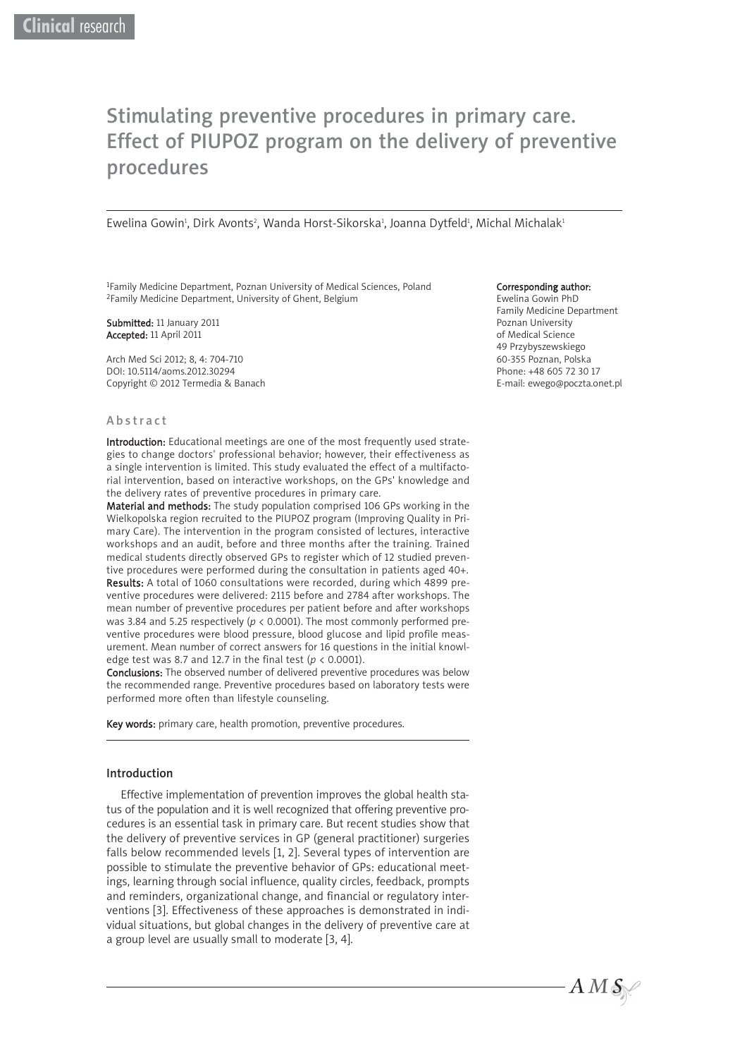# Stimulating preventive procedures in primary care. Effect of PIUPOZ program on the delivery of preventive procedures

Ewelina Gowin<sup>ı</sup>, Dirk Avonts<sup>2</sup>, Wanda Horst-Sikorska<sup>ı</sup>, Joanna Dytfeld<sup>ı</sup>, Michal Michalak<sup>ı</sup>

1Family Medicine Department, Poznan University of Medical Sciences, Poland 2Family Medicine Department, University of Ghent, Belgium

Submitted: 11 January 2011 Accepted: 11 April 2011

Arch Med Sci 2012; 8, 4: 704-710 DOI: 10.5114/aoms.2012.30294 Copyright © 2012 Termedia & Banach

#### Abstract

Introduction: Educational meetings are one of the most frequently used strategies to change doctors' professional behavior; however, their effectiveness as a single intervention is limited. This study evaluated the effect of a multifactorial intervention, based on interactive workshops, on the GPs' knowledge and the delivery rates of preventive procedures in primary care.

Material and methods: The study population comprised 106 GPs working in the Wielkopolska region recruited to the PIUPOZ program (Improving Quality in Primary Care). The intervention in the program consisted of lectures, interactive workshops and an audit, before and three months after the training. Trained medical students directly observed GPs to register which of 12 studied preventive procedures were performed during the consultation in patients aged 40+. Results: A total of 1060 consultations were recorded, during which 4899 preventive procedures were delivered: 2115 before and 2784 after workshops. The mean number of preventive procedures per patient before and after workshops was 3.84 and 5.25 respectively ( $p < 0.0001$ ). The most commonly performed preventive procedures were blood pressure, blood glucose and lipid profile measurement. Mean number of correct answers for 16 questions in the initial knowledge test was 8.7 and 12.7 in the final test (*p* < 0.0001).

Conclusions: The observed number of delivered preventive procedures was below the recommended range. Preventive procedures based on laboratory tests were performed more often than lifestyle counseling.

Key words: primary care, health promotion, preventive procedures.

#### Introduction

Effective implementation of prevention improves the global health status of the population and it is well recognized that offering preventive procedures is an essential task in primary care. But recent studies show that the delivery of preventive services in GP (general practitioner) surgeries falls below recommended levels [1, 2]. Several types of intervention are possible to stimulate the preventive behavior of GPs: educational meetings, learning through social influence, quality circles, feedback, prompts and reminders, organizational change, and financial or regulatory interventions [3]. Effectiveness of these approaches is demonstrated in individual situations, but global changes in the delivery of preventive care at a group level are usually small to moderate [3, 4].

#### Corresponding author:

Ewelina Gowin PhD Family Medicine Department Poznan University of Medical Science 49 Przybyszewskiego 60-355 Poznan, Polska Phone: +48 605 72 30 17 E-mail: ewego@poczta.onet.pl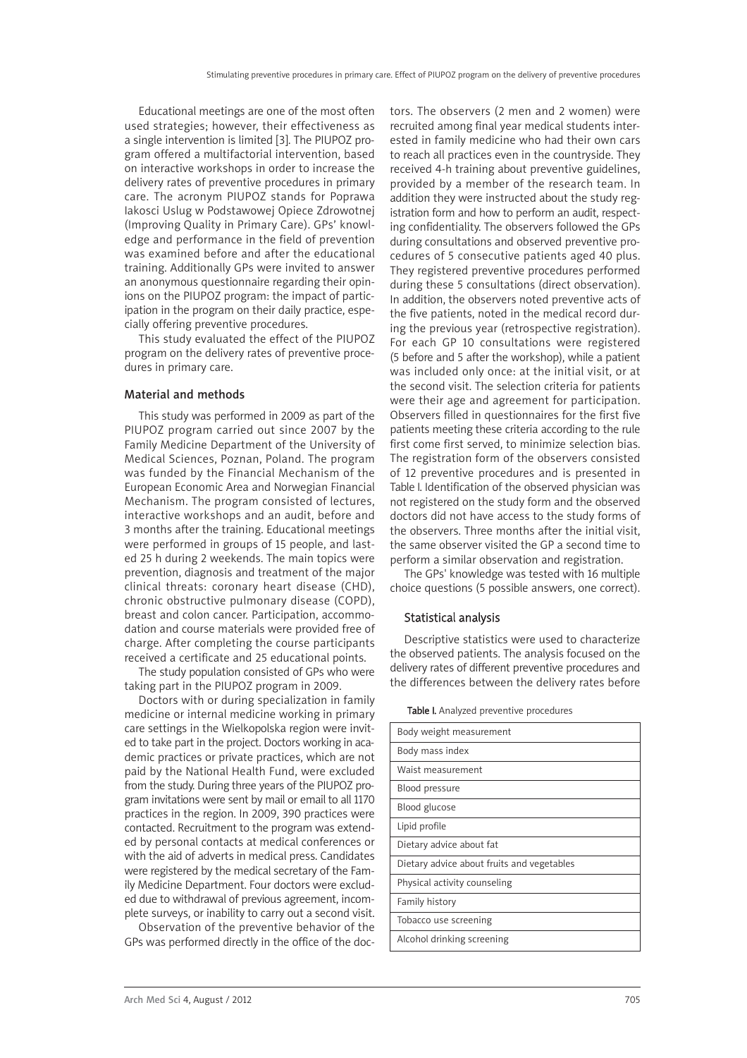Educational meetings are one of the most often used strategies; however, their effectiveness as a single intervention is limited [3]. The PIUPOZ program offered a multifactorial intervention, based on interactive workshops in order to increase the delivery rates of preventive procedures in primary care. The acronym PIUPOZ stands for Poprawa Iakosci Uslug w Podstawowej Opiece Zdrowotnej (Improving Quality in Primary Care). GPs' knowledge and performance in the field of prevention was examined before and after the educational training. Additionally GPs were invited to answer an anonymous questionnaire regarding their opinions on the PIUPOZ program: the impact of participation in the program on their daily practice, especially offering preventive procedures.

This study evaluated the effect of the PIUPOZ program on the delivery rates of preventive procedures in primary care.

### Material and methods

This study was performed in 2009 as part of the PIUPOZ program carried out since 2007 by the Family Medicine Department of the University of Medical Sciences, Poznan, Poland. The program was funded by the Financial Mechanism of the European Economic Area and Norwegian Financial Mechanism. The program consisted of lectures, interactive workshops and an audit, before and 3 months after the training. Educational meetings were performed in groups of 15 people, and lasted 25 h during 2 weekends. The main topics were prevention, diagnosis and treatment of the major clinical threats: coronary heart disease (CHD), chronic obstructive pulmonary disease (COPD), breast and colon cancer. Participation, accommodation and course materials were provided free of charge. After completing the course participants received a certificate and 25 educational points.

The study population consisted of GPs who were taking part in the PIUPOZ program in 2009.

Doctors with or during specialization in family medicine or internal medicine working in primary care settings in the Wielkopolska region were invited to take part in the project. Doctors working in academic practices or private practices, which are not paid by the National Health Fund, were excluded from the study. During three years of the PIUPOZ program invitations were sent by mail or email to all 1170 practices in the region. In 2009, 390 practices were contacted. Recruitment to the program was extended by personal contacts at medical conferences or with the aid of adverts in medical press. Candidates were registered by the medical secretary of the Family Medicine Department. Four doctors were excluded due to withdrawal of previous agreement, incomplete surveys, or inability to carry out a second visit.

Observation of the preventive behavior of the GPs was performed directly in the office of the doctors. The observers (2 men and 2 women) were recruited among final year medical students interested in family medicine who had their own cars to reach all practices even in the countryside. They received 4-h training about preventive guidelines, provided by a member of the research team. In addition they were instructed about the study registration form and how to perform an audit, respecting confidentiality. The observers followed the GPs during consultations and observed preventive procedures of 5 consecutive patients aged 40 plus. They registered preventive procedures performed during these 5 consultations (direct observation). In addition, the observers noted preventive acts of the five patients, noted in the medical record during the previous year (retrospective registration). For each GP 10 consultations were registered (5 before and 5 after the workshop), while a patient was included only once: at the initial visit, or at the second visit. The selection criteria for patients were their age and agreement for participation. Observers filled in questionnaires for the first five patients meeting these criteria according to the rule first come first served, to minimize selection bias. The registration form of the observers consisted of 12 preventive procedures and is presented in Table I. Identification of the observed physician was not registered on the study form and the observed doctors did not have access to the study forms of the observers. Three months after the initial visit, the same observer visited the GP a second time to perform a similar observation and registration.

The GPs' knowledge was tested with 16 multiple choice questions (5 possible answers, one correct).

## Statistical analysis

Descriptive statistics were used to characterize the observed patients. The analysis focused on the delivery rates of different preventive procedures and the differences between the delivery rates before

Table I. Analyzed preventive procedures

| Body weight measurement                    |
|--------------------------------------------|
| Body mass index                            |
| Waist measurement                          |
| Blood pressure                             |
| Blood glucose                              |
| Lipid profile                              |
| Dietary advice about fat                   |
| Dietary advice about fruits and vegetables |
| Physical activity counseling               |
| Family history                             |
| Tobacco use screening                      |
| Alcohol drinking screening                 |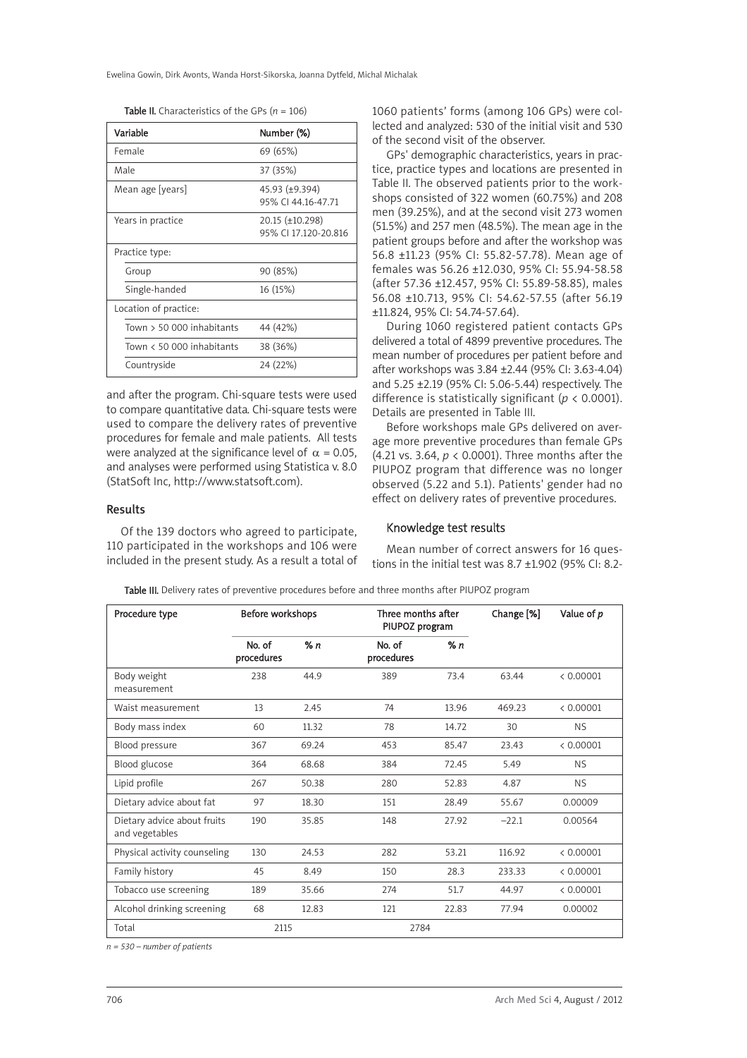**Table II.** Characteristics of the GPs  $(n = 106)$ 

| Variable                      | Number (%)                             |  |  |  |  |  |
|-------------------------------|----------------------------------------|--|--|--|--|--|
| Female                        | 69 (65%)                               |  |  |  |  |  |
| Male                          | 37 (35%)                               |  |  |  |  |  |
| Mean age [years]              | 45.93 (±9.394)<br>95% CI 44.16-47.71   |  |  |  |  |  |
| Years in practice             | 20.15 (±10.298)<br>95% CL17.120-20.816 |  |  |  |  |  |
| Practice type:                |                                        |  |  |  |  |  |
| Group                         | 90 (85%)                               |  |  |  |  |  |
| Single-handed                 | 16 (15%)                               |  |  |  |  |  |
| Location of practice:         |                                        |  |  |  |  |  |
| Town $>$ 50 000 inhabitants   | 44 (42%)                               |  |  |  |  |  |
| Town $\leq 50000$ inhabitants | 38 (36%)                               |  |  |  |  |  |
| Countryside                   | 24 (22%)                               |  |  |  |  |  |

and after the program. Chi-square tests were used to compare quantitative data. Chi-square tests were used to compare the delivery rates of preventive procedures for female and male patients. All tests were analyzed at the significance level of  $\alpha$  = 0.05, and analyses were performed using Statistica v. 8.0 (StatSoft Inc, http://www.statsoft.com).

#### Results

Of the 139 doctors who agreed to participate, 110 participated in the workshops and 106 were included in the present study. As a result a total of 1060 patients' forms (among 106 GPs) were collected and analyzed: 530 of the initial visit and 530 of the second visit of the observer.

GPs' demographic characteristics, years in practice, practice types and locations are presented in Table II. The observed patients prior to the workshops consisted of 322 women (60.75%) and 208 men (39.25%), and at the second visit 273 women (51.5%) and 257 men (48.5%). The mean age in the patient groups before and after the workshop was 56.8 ±11.23 (95% CI: 55.82-57.78). Mean age of females was 56.26 ±12.030, 95% CI: 55.94-58.58 (after 57.36 ±12.457, 95% CI: 55.89-58.85), males 56.08 ±10.713, 95% CI: 54.62-57.55 (after 56.19 ±11.824, 95% CI: 54.74-57.64).

During 1060 registered patient contacts GPs delivered a total of 4899 preventive procedures. The mean number of procedures per patient before and after workshops was 3.84 ±2.44 (95% CI: 3.63-4.04) and 5.25 ±2.19 (95% CI: 5.06-5.44) respectively. The difference is statistically significant (*p* < 0.0001). Details are presented in Table III.

Before workshops male GPs delivered on average more preventive procedures than female GPs (4.21 vs. 3.64, *p* < 0.0001). Three months after the PIUPOZ program that difference was no longer observed (5.22 and 5.1). Patients' gender had no effect on delivery rates of preventive procedures.

#### Knowledge test results

Mean number of correct answers for 16 questions in the initial test was  $8.7 \pm 1.902$  (95% CI: 8.2-

Table III. Delivery rates of preventive procedures before and three months after PIUPOZ program

| Procedure type                                | Before workshops<br>Three months after<br>PIUPOZ program |       |                      | Change [%] | Value of p |           |
|-----------------------------------------------|----------------------------------------------------------|-------|----------------------|------------|------------|-----------|
|                                               | No. of<br>procedures                                     | % n   | No. of<br>procedures | % n        |            |           |
| Body weight<br>measurement                    | 238                                                      | 44.9  | 389                  | 73.4       | 63.44      | < 0.00001 |
| Waist measurement                             | 13                                                       | 2.45  | 74                   | 13.96      | 469.23     | < 0.00001 |
| Body mass index                               | 60                                                       | 11.32 | 78                   | 14.72      | 30         | <b>NS</b> |
| Blood pressure                                | 367                                                      | 69.24 | 453                  | 85.47      | 23.43      | < 0.00001 |
| Blood glucose                                 | 364                                                      | 68.68 | 384                  | 72.45      | 5.49       | <b>NS</b> |
| Lipid profile                                 | 267                                                      | 50.38 | 280                  | 52.83      | 4.87       | NS.       |
| Dietary advice about fat                      | 97                                                       | 18.30 | 151                  | 28.49      | 55.67      | 0.00009   |
| Dietary advice about fruits<br>and vegetables | 190                                                      | 35.85 | 148                  | 27.92      | $-22.1$    | 0.00564   |
| Physical activity counseling                  | 130                                                      | 24.53 | 282                  | 53.21      | 116.92     | < 0.00001 |
| Family history                                | 45                                                       | 8.49  | 150                  | 28.3       | 233.33     | < 0.00001 |
| Tobacco use screening                         | 189                                                      | 35.66 | 274                  | 51.7       | 44.97      | < 0.00001 |
| Alcohol drinking screening                    | 68                                                       | 12.83 | 121                  | 22.83      | 77.94      | 0.00002   |
| Total                                         | 2115                                                     |       | 2784                 |            |            |           |

*n = 530 – number of patients*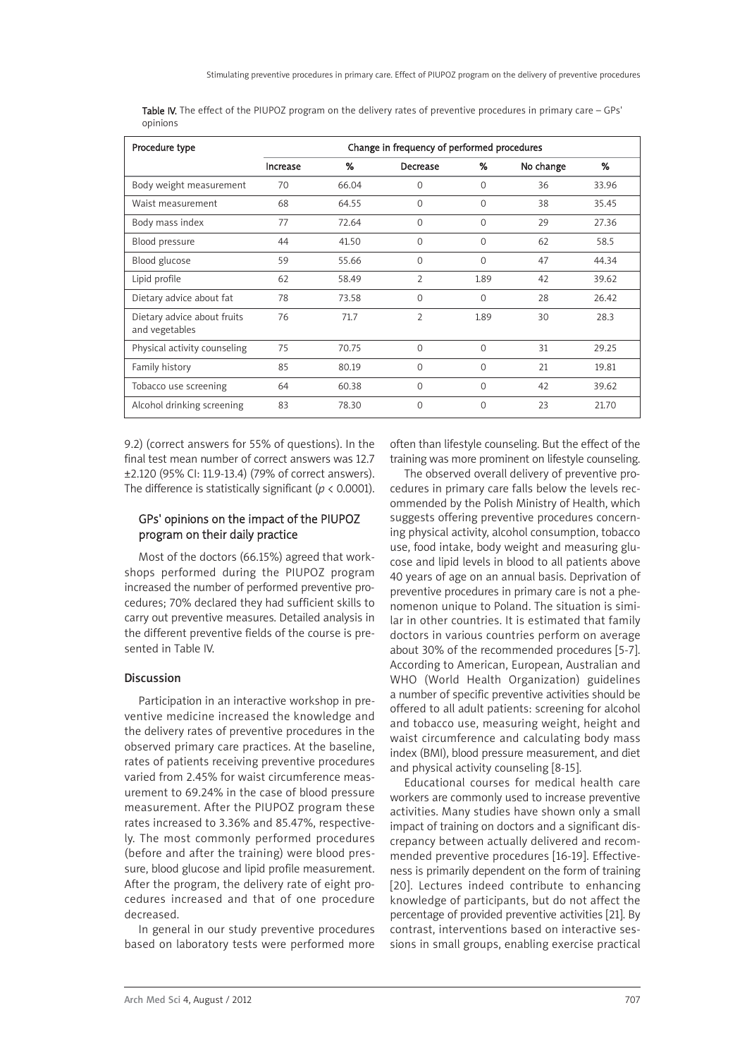| Procedure type                                | Change in frequency of performed procedures |       |                |              |           |       |  |
|-----------------------------------------------|---------------------------------------------|-------|----------------|--------------|-----------|-------|--|
|                                               | Increase                                    | %     | Decrease       | ℅            | No change | %     |  |
| Body weight measurement                       | 70                                          | 66.04 | $\Omega$       | $\Omega$     | 36        | 33.96 |  |
| Waist measurement                             | 68                                          | 64.55 | $\Omega$       | $\Omega$     | 38        | 35.45 |  |
| Body mass index                               | 77                                          | 72.64 | $\Omega$       | $\Omega$     | 29        | 27.36 |  |
| Blood pressure                                | 44                                          | 41.50 | $\Omega$       | $\Omega$     | 62        | 58.5  |  |
| Blood glucose                                 | 59                                          | 55.66 | $\Omega$       | $\mathbf 0$  | 47        | 44.34 |  |
| Lipid profile                                 | 62                                          | 58.49 | $\overline{2}$ | 1.89         | 42        | 39.62 |  |
| Dietary advice about fat                      | 78                                          | 73.58 | $\Omega$       | $\mathbf 0$  | 28        | 26.42 |  |
| Dietary advice about fruits<br>and vegetables | 76                                          | 71.7  | $\overline{2}$ | 1.89         | 30        | 28.3  |  |
| Physical activity counseling                  | 75                                          | 70.75 | $\Omega$       | $\Omega$     | 31        | 29.25 |  |
| Family history                                | 85                                          | 80.19 | $\Omega$       | $\Omega$     | 21        | 19.81 |  |
| Tobacco use screening                         | 64                                          | 60.38 | $\Omega$       | $\Omega$     | 42        | 39.62 |  |
| Alcohol drinking screening                    | 83                                          | 78.30 | $\Omega$       | $\mathbf{0}$ | 23        | 21.70 |  |

Table IV. The effect of the PIUPOZ program on the delivery rates of preventive procedures in primary care – GPs' opinions

9.2) (correct answers for 55% of questions). In the final test mean number of correct answers was 12.7 ±2.120 (95% CI: 11.9-13.4) (79% of correct answers). The difference is statistically significant (*p* < 0.0001).

# GPs' opinions on the impact of the PIUPOZ program on their daily practice

Most of the doctors (66.15%) agreed that workshops performed during the PIUPOZ program increased the number of performed preventive procedures; 70% declared they had sufficient skills to carry out preventive measures. Detailed analysis in the different preventive fields of the course is presented in Table IV.

## Discussion

Participation in an interactive workshop in preventive medicine increased the knowledge and the delivery rates of preventive procedures in the observed primary care practices. At the baseline, rates of patients receiving preventive procedures varied from 2.45% for waist circumference measurement to 69.24% in the case of blood pressure measurement. After the PIUPOZ program these rates increased to 3.36% and 85.47%, respectively. The most commonly performed procedures (before and after the training) were blood pressure, blood glucose and lipid profile measurement. After the program, the delivery rate of eight procedures increased and that of one procedure decreased.

In general in our study preventive procedures based on laboratory tests were performed more often than lifestyle counseling. But the effect of the training was more prominent on lifestyle counseling.

The observed overall delivery of preventive procedures in primary care falls below the levels recommended by the Polish Ministry of Health, which suggests offering preventive procedures concerning physical activity, alcohol consumption, tobacco use, food intake, body weight and measuring glucose and lipid levels in blood to all patients above 40 years of age on an annual basis. Deprivation of preventive procedures in primary care is not a phenomenon unique to Poland. The situation is similar in other countries. It is estimated that family doctors in various countries perform on average about 30% of the recommended procedures [5-7]. According to American, European, Australian and WHO (World Health Organization) guidelines a number of specific preventive activities should be offered to all adult patients: screening for alcohol and tobacco use, measuring weight, height and waist circumference and calculating body mass index (BMI), blood pressure measurement, and diet and physical activity counseling [8-15].

Educational courses for medical health care workers are commonly used to increase preventive activities. Many studies have shown only a small impact of training on doctors and a significant discrepancy between actually delivered and recommended preventive procedures [16-19]. Effectiveness is primarily dependent on the form of training [20]. Lectures indeed contribute to enhancing knowledge of participants, but do not affect the percentage of provided preventive activities [21]. By contrast, interventions based on interactive sessions in small groups, enabling exercise practical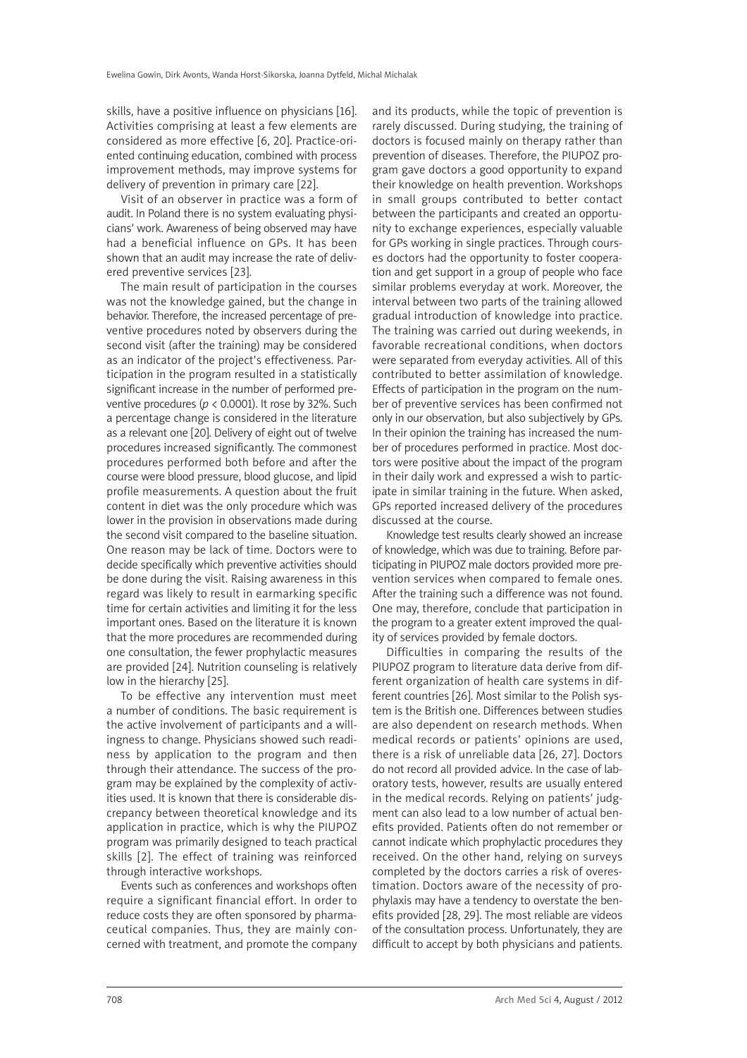skills, have a positive influence on physicians [16]. Activities comprising at least a few elements are considered as more effective [6, 20]. Practice-oriented continuing education, combined with process improvement methods, may improve systems for delivery of prevention in primary care [22].

Visit of an observer in practice was a form of audit. In Poland there is no system evaluating physicians' work. Awareness of being observed may have had a beneficial influence on GPs. It has been shown that an audit may increase the rate of delivered preventive services [23].

The main result of participation in the courses was not the knowledge gained, but the change in behavior. Therefore, the increased percentage of preventive procedures noted by observers during the second visit (after the training) may be considered as an indicator of the project's effectiveness. Participation in the program resulted in a statistically significant increase in the number of performed preventive procedures (*p* < 0.0001). It rose by 32%. Such a percentage change is considered in the literature as a relevant one [20]. Delivery of eight out of twelve procedures increased significantly. The commonest procedures performed both before and after the course were blood pressure, blood glucose, and lipid profile measurements. A question about the fruit content in diet was the only procedure which was lower in the provision in observations made during the second visit compared to the baseline situation. One reason may be lack of time. Doctors were to decide specifically which preventive activities should be done during the visit. Raising awareness in this regard was likely to result in earmarking specific time for certain activities and limiting it for the less important ones. Based on the literature it is known that the more procedures are recommended during one consultation, the fewer prophylactic measures are provided [24]. Nutrition counseling is relatively low in the hierarchy [25].

To be effective any intervention must meet a number of conditions. The basic requirement is the active involvement of participants and a willingness to change. Physicians showed such readiness by application to the program and then through their attendance. The success of the program may be explained by the complexity of activities used. It is known that there is considerable discrepancy between theoretical knowledge and its application in practice, which is why the PIUPOZ program was primarily designed to teach practical skills [2]. The effect of training was reinforced through interactive workshops.

Events such as conferences and workshops often require a significant financial effort. In order to reduce costs they are often sponsored by pharmaceutical companies. Thus, they are mainly concerned with treatment, and promote the company and its products, while the topic of prevention is rarely discussed. During studying, the training of doctors is focused mainly on therapy rather than prevention of diseases. Therefore, the PIUPOZ program gave doctors a good opportunity to expand their knowledge on health prevention. Workshops in small groups contributed to better contact between the participants and created an opportunity to exchange experiences, especially valuable for GPs working in single practices. Through courses doctors had the opportunity to foster cooperation and get support in a group of people who face similar problems everyday at work. Moreover, the interval between two parts of the training allowed gradual introduction of knowledge into practice. The training was carried out during weekends, in favorable recreational conditions, when doctors were separated from everyday activities. All of this contributed to better assimilation of knowledge. Effects of participation in the program on the number of preventive services has been confirmed not only in our observation, but also subjectively by GPs. In their opinion the training has increased the number of procedures performed in practice. Most doctors were positive about the impact of the program in their daily work and expressed a wish to participate in similar training in the future. When asked, GPs reported increased delivery of the procedures discussed at the course.

Knowledge test results clearly showed an increase of knowledge, which was due to training. Before participating in PIUPOZ male doctors provided more prevention services when compared to female ones. After the training such a difference was not found. One may, therefore, conclude that participation in the program to a greater extent improved the quality of services provided by female doctors.

Difficulties in comparing the results of the PIUPOZ program to literature data derive from different organization of health care systems in different countries [26]. Most similar to the Polish system is the British one. Differences between studies are also dependent on research methods. When medical records or patients' opinions are used, there is a risk of unreliable data [26, 27]. Doctors do not record all provided advice. In the case of laboratory tests, however, results are usually entered in the medical records. Relying on patients' judgment can also lead to a low number of actual benefits provided. Patients often do not remember or cannot indicate which prophylactic procedures they received. On the other hand, relying on surveys completed by the doctors carries a risk of overestimation. Doctors aware of the necessity of prophylaxis may have a tendency to overstate the benefits provided [28, 29]. The most reliable are videos of the consultation process. Unfortunately, they are difficult to accept by both physicians and patients.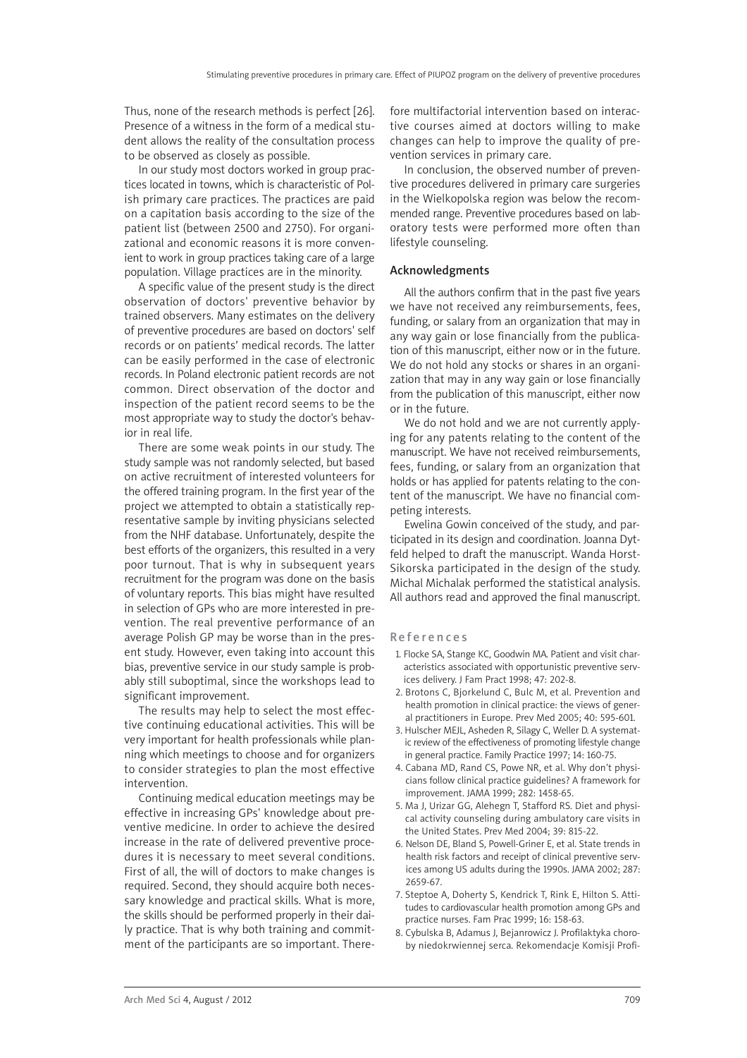Thus, none of the research methods is perfect [26]. Presence of a witness in the form of a medical student allows the reality of the consultation process to be observed as closely as possible.

In our study most doctors worked in group practices located in towns, which is characteristic of Polish primary care practices. The practices are paid on a capitation basis according to the size of the patient list (between 2500 and 2750). For organizational and economic reasons it is more convenient to work in group practices taking care of a large population. Village practices are in the minority.

A specific value of the present study is the direct observation of doctors' preventive behavior by trained observers. Many estimates on the delivery of preventive procedures are based on doctors' self records or on patients' medical records. The latter can be easily performed in the case of electronic records. In Poland electronic patient records are not common. Direct observation of the doctor and inspection of the patient record seems to be the most appropriate way to study the doctor's behavior in real life.

There are some weak points in our study. The study sample was not randomly selected, but based on active recruitment of interested volunteers for the offered training program. In the first year of the project we attempted to obtain a statistically representative sample by inviting physicians selected from the NHF database. Unfortunately, despite the best efforts of the organizers, this resulted in a very poor turnout. That is why in subsequent years recruitment for the program was done on the basis of voluntary reports. This bias might have resulted in selection of GPs who are more interested in prevention. The real preventive performance of an average Polish GP may be worse than in the present study. However, even taking into account this bias, preventive service in our study sample is probably still suboptimal, since the workshops lead to significant improvement.

The results may help to select the most effective continuing educational activities. This will be very important for health professionals while planning which meetings to choose and for organizers to consider strategies to plan the most effective intervention.

Continuing medical education meetings may be effective in increasing GPs' knowledge about preventive medicine. In order to achieve the desired increase in the rate of delivered preventive procedures it is necessary to meet several conditions. First of all, the will of doctors to make changes is required. Second, they should acquire both necessary knowledge and practical skills. What is more, the skills should be performed properly in their daily practice. That is why both training and commitment of the participants are so important. Therefore multifactorial intervention based on interactive courses aimed at doctors willing to make changes can help to improve the quality of prevention services in primary care.

In conclusion, the observed number of preventive procedures delivered in primary care surgeries in the Wielkopolska region was below the recommended range. Preventive procedures based on laboratory tests were performed more often than lifestyle counseling.

## Acknowledgments

All the authors confirm that in the past five years we have not received any reimbursements, fees, funding, or salary from an organization that may in any way gain or lose financially from the publication of this manuscript, either now or in the future. We do not hold any stocks or shares in an organization that may in any way gain or lose financially from the publication of this manuscript, either now or in the future.

We do not hold and we are not currently applying for any patents relating to the content of the manuscript. We have not received reimbursements, fees, funding, or salary from an organization that holds or has applied for patents relating to the content of the manuscript. We have no financial competing interests.

Ewelina Gowin conceived of the study, and participated in its design and coordination. Joanna Dytfeld helped to draft the manuscript. Wanda Horst-Sikorska participated in the design of the study. Michal Michalak performed the statistical analysis. All authors read and approved the final manuscript.

#### References

- 1. Flocke SA, Stange KC, Goodwin MA. Patient and visit characteristics associated with opportunistic preventive services delivery. J Fam Pract 1998; 47: 202-8.
- 2. Brotons C, Bjorkelund C, Bulc M, et al. Prevention and health promotion in clinical practice: the views of general practitioners in Europe. Prev Med 2005; 40: 595-601.
- 3. Hulscher MEJL, Asheden R, Silagy C, Weller D. A systematic review of the effectiveness of promoting lifestyle change in general practice. Family Practice 1997; 14: 160-75.
- 4. Cabana MD, Rand CS, Powe NR, et al. Why don't physicians follow clinical practice guidelines? A framework for improvement. JAMA 1999; 282: 1458-65.
- 5. Ma J, Urizar GG, Alehegn T, Stafford RS. Diet and physical activity counseling during ambulatory care visits in the United States. Prev Med 2004; 39: 815-22.
- 6. Nelson DE, Bland S, Powell-Griner E, et al. State trends in health risk factors and receipt of clinical preventive services among US adults during the 1990s. JAMA 2002; 287: 2659-67.
- 7. Steptoe A, Doherty S, Kendrick T, Rink E, Hilton S. Attitudes to cardiovascular health promotion among GPs and practice nurses. Fam Prac 1999; 16: 158-63.
- 8. Cybulska B, Adamus J, Bejanrowicz J. Profilaktyka choroby niedokrwiennej serca. Rekomendacje Komisji Profi-